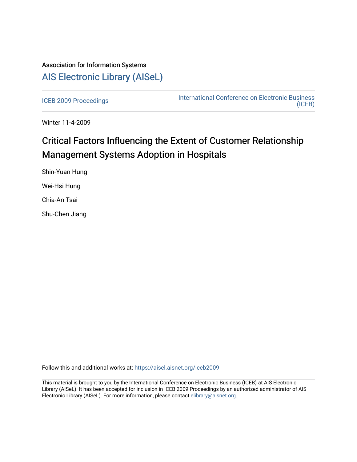## Association for Information Systems [AIS Electronic Library \(AISeL\)](https://aisel.aisnet.org/)

[ICEB 2009 Proceedings](https://aisel.aisnet.org/iceb2009) **International Conference on Electronic Business** [\(ICEB\)](https://aisel.aisnet.org/iceb) 

Winter 11-4-2009

# Critical Factors Influencing the Extent of Customer Relationship Management Systems Adoption in Hospitals

Shin-Yuan Hung Wei-Hsi Hung Chia-An Tsai Shu-Chen Jiang

Follow this and additional works at: [https://aisel.aisnet.org/iceb2009](https://aisel.aisnet.org/iceb2009?utm_source=aisel.aisnet.org%2Ficeb2009%2F39&utm_medium=PDF&utm_campaign=PDFCoverPages)

This material is brought to you by the International Conference on Electronic Business (ICEB) at AIS Electronic Library (AISeL). It has been accepted for inclusion in ICEB 2009 Proceedings by an authorized administrator of AIS Electronic Library (AISeL). For more information, please contact [elibrary@aisnet.org.](mailto:elibrary@aisnet.org%3E)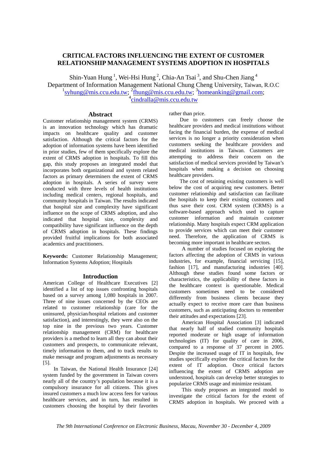## **CRITICAL FACTORS INFLUENCING THE EXTENT OF CUSTOMER RELATIONSHIP MANAGEMENT SYSTEMS ADOPTION IN HOSPITALS**

Shin-Yuan Hung<sup>1</sup>, Wei-Hsi Hung<sup>2</sup>, Chia-An Tsai<sup>3</sup>, and Shu-Chen Jiang<sup>4</sup> Department of Information Management National Chung Cheng University, Taiwan, R.O.C <sup>1</sup>syhung@mis.ccu.edu.tw; <sup>2</sup>fhung@mis.ccu.edu.tw; <sup>3</sup>homeanking@gmail.com; <sup>4</sup>cindralla@mis.ccu.edu.tw

## **Abstract**

Customer relationship management system (CRMS) is an innovation technology which has dramatic impacts on healthcare quality and customer satisfaction. Although the critical factors for the adoption of information systems have been identified in prior studies, few of them specifically explore the extent of CRMS adoption in hospitals. To fill this gap, this study proposes an integrated model that incorporates both organizational and system related factors as primary determiners the extent of CRMS adoption in hospitals. A series of survey were conducted with three levels of health institutions including medical centers, regional hospitals, and community hospitals in Taiwan. The results indicated that hospital size and complexity have significant influence on the scope of CRMS adoption, and also indicated that hospital size, complexity and compatibility have significant influence on the depth of CRMS adoption in hospitals. These findings provided fruitful implications for both associated academics and practitioners.

**Keywords:** Customer Relationship Management; Information Systems Adoption; Hospitals

## **Introduction**

American College of Healthcare Executives [2] identified a list of top issues confronting hospitals based on a survey among 1,080 hospitals in 2007. Three of nine issues concerned by the CEOs are related to customer relationship (care for the uninsured, physician/hospital relations and customer satisfaction), and interestingly, they were also on the top nine in the previous two years. Customer relationship management (CRM) for healthcare providers is a method to learn all they can about their customers and prospects, to communicate relevant, timely information to them, and to track results to make message and program adjustments as necessary [5].

In Taiwan, the National Health Insurance [24] system funded by the government in Taiwan covers nearly all of the country's population because it is a compulsory insurance for all citizens. This gives insured customers a much low access fees for various healthcare services, and in turn, has resulted in customers choosing the hospital by their favorites

rather than price.

Due to customers can freely choose the healthcare providers and medical institutions without facing the financial burden, the expense of medical services is no longer a priority consideration when customers seeking the healthcare providers and medical institutions in Taiwan. Customers are attempting to address their concern on the satisfaction of medical services provided by Taiwan's hospitals when making a decision on choosing healthcare providers.

The cost of retaining existing customers is well below the cost of acquiring new customers. Better customer relationship and satisfaction can facilitate the hospitals to keep their existing customers and thus save their cost. CRM system (CRMS) is a software-based approach which used to capture customer information and maintain customer relationship. Many hospitals expect CRM application to provide services which can meet their customer need. Therefore, the application of CRMS is becoming more important in healthcare sectors.

A number of studies focused on exploring the factors affecting the adoption of CRMS in various industries, for example, financial servicing [15], fashion [17], and manufacturing industries [40]. Although these studies found some factors or characteristics, the applicability of these factors in the healthcare context is questionable. Medical customers sometimes need to be considered differently from business clients because they actually expect to receive more care than business customers, such as anticipating doctors to remember their attitudes and expectations [23].

American Hospital Association [3] indicated that nearly half of studied community hospitals reported moderate or high usage of information technologies (IT) for quality of care in 2006, compared to a response of 37 percent in 2005. Despite the increased usage of IT in hospitals, few studies specifically explore the critical factors for the extent of IT adoption. Once critical factors influencing the extent of CRMS adoption are understood, hospitals can develop better strategies to popularize CRMS usage and minimize resistant.

This study proposes an integrated model to investigate the critical factors for the extent of CRMS adoption in hospitals. We proceed with a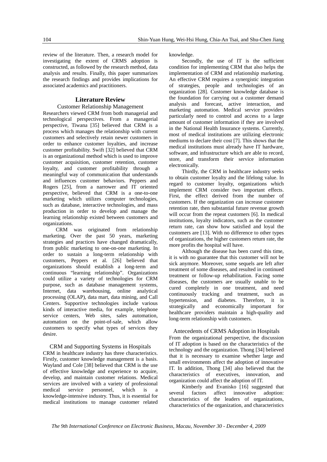review of the literature. Then, a research model for investigating the extent of CRMS adoption is constructed, as followed by the research method, data analysis and results. Finally, this paper summarizes the research findings and provides implications for associated academics and practitioners.

## **Literature Review**

#### Customer Relationship Management

Researchers viewed CRM from both managerial and technological perspectives. From a managerial perspective, Tiwana [35] believed that CRM is a process which manages the relationship with current customers and selectively retain newer customers in order to enhance customer loyalties, and increase customer profitability. Swift [32] believed that CRM is an organizational method which is used to improve customer acquisition, customer retention, customer loyalty, and customer profitability through a meaningful way of communication that understands and influences customer behaviors. Peppers and Rogers [25], from a narrower and IT oriented perspective, believed that CRM is a one-to-one marketing which utilizes computer technologies, such as database, interactive technologies, and mass production in order to develop and manage the learning relationship existed between customers and organizations.

CRM was originated from relationship marketing. Over the past 50 years, marketing strategies and practices have changed dramatically, from public marketing to one-on-one marketing. In order to sustain a long-term relationship with customers, Peppers et al. [26] believed that organizations should establish a long-term and continuous "learning relationship". Organizations could utilize a variety of technologies for CRM purpose, such as database management systems, Internet, data warehousing, online analytical processing (OLAP), data mart, data mining, and Call Centers. Supportive technologies include various kinds of interactive media, for example, telephone service centers, Web sites, sales automation, automation on the point-of-sale, which allow customers to specify what types of services they desire.

## CRM and Supporting Systems in Hospitals

CRM in healthcare industry has three characteristics. Firstly, customer knowledge management is a basis. Wayland and Cole [38] believed that CRM is the use of effective knowledge and experience to acquire, develop, and maintain customer relations. Medical services are involved with a variety of professional medical service personnel, which is a knowledge-intensive industry. Thus, it is essential for medical institutions to manage customer related

knowledge.

Secondly, the use of IT is the sufficient condition for implementing CRM that also helps the implementation of CRM and relationship marketing. An effective CRM requires a synergistic integration of strategies, people and technologies of an organization [28]. Customer knowledge database is the foundation for carrying out a customer demand analysis and forecast, active interaction, and marketing automation. Medical service providers particularly need to control and access to a large amount of customer information if they are involved in the National Health Insurance systems. Currently, most of medical institutions are utilizing electronic mediums to declare their cost [7]. This shows that the medical institutions must already have IT hardware, software, and infrastructure which are able to record, store, and transform their service information electronically.

Thirdly, the CRM in healthcare industry seeks to obtain customer loyalty and the lifelong value. In regard to customer loyalty, organizations which implement CRM consider two important effects. First, the effect derived from the number of customers. If the organization can increase customer retention rate, then substantial future revenue growth will occur from the repeat customers [6]. In medical institutions, loyalty indicators, such as the customer return rate, can show how satisfied and loyal the customers are [13]. With no difference to other types of organizations, the higher customers return rate, the more profits the hospital will have.

Although the disease has been cured this time, it is with no guarantee that this customer will not be sick anymore. Moreover, some sequels are left after treatment of some diseases, and resulted in continued treatment or follow-up rehabilitation. Facing some diseases, the customers are usually unable to be cured completely in one treatment, and need continuously tracking and treatment, such as hypertension, and diabetes. Therefore, it is strategically and economically important for healthcare providers maintain a high-quality and long-term relationship with customers.

#### Antecedents of CRMS Adoption in Hospitals

From the organizational perspective, the discussion of IT adoption is based on the characteristics of the technology and the organization. Thong [34] believed that it is necessary to examine whether large and small environments affect the adoption of innovative IT. In addition, Thong [34] also believed that the characteristics of executives, innovation, and organization could affect the adoption of IT.

Kimberly and Evanisko [16] suggested that several factors affect innovative adoption: characteristics of the leaders of organizations, characteristics of the organization, and characteristics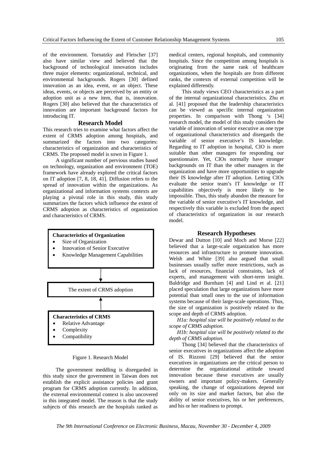of the environment. Tornatzky and Fleischer [37] also have similar view and believed that the background of technological innovation includes three major elements: organizational, technical, and environmental backgrounds. Rogers [30] defined innovation as an idea, event, or an object. These ideas, events, or objects are perceived by an entity or adoption unit as a new item, that is, innovation. Rogers [30] also believed that the characteristics of innovation are important background factors for introducing IT.

### **Research Model**

This research tries to examine what factors affect the extent of CRMS adoption among hospitals, and summarized the factors into two categories: characteristics of organization and characteristics of CRMS. The proposed model is sown in Figure 1.

A significant number of pervious studies based on technology, organization and environment (TOE) framework have already explored the critical factors on IT adoption [7, 8, 18, 41]. Diffusion refers to the spread of innovation within the organizations. As organizational and information systems contexts are playing a pivotal role in this study, this study summarizes the factors which influence the extent of CRMS adoption as characteristics of organization and characteristics of CRMS.



#### Figure 1. Research Model

The government meddling is disregarded in this study since the government in Taiwan does not establish the explicit assistance policies and grant program for CRMS adoption currently. In addition, the external environmental context is also uncovered in this integrated model. The reason is that the study subjects of this research are the hospitals ranked as medical centers, regional hospitals, and community hospitals. Since the competition among hospitals is originating from the same rank of healthcare organizations, when the hospitals are from different ranks, the contexts of external competition will be explained differently.

This study views CEO characteristics as a part of the internal organizational characteristics. Zhu et al. [41] proposed that the leadership characteristics can be viewed as specific internal organization properties. In comparison with Thong 's [34] research model, the model of this study considers the variable of innovation of senior executive as one type of organizational characteristics and disregards the variable of senior executive's IS knowledge. Regarding to IT adoption in hospital, CIO is more suitable than other managers for responding our questionnaire. Yet, CIOs normally have stronger backgrounds on IT than the other managers in the organization and have more opportunities to upgrade their IS knowledge after IT adoption. Letting CIOs evaluate the senior team's IT knowledge or IT capabilities objectively is more likely to be impossible. Thus, this study abandon the measure for the variable of senior executive's IT knowledge, and respectively this variable is excluded from the aspect of characteristics of organization in our research model.

#### **Research Hypotheses**

Dewar and Dutton [10] and Moch and Morse [22] believed that a large-scale organization has more resources and infrastructure to promote innovation. Welsh and White [39] also argued that small businesses usually suffer more restrictions, such as lack of resources, financial constraints, lack of experts, and management with short-term insight. Baldridge and Burnham [4] and Lind et al. [21] placed speculation that large organizations have more potential than small ones to the use of information systems because of their large-scale operations. Thus, the size of organization is positively related to the scope and depth of CRMS adoption.

*H1a: hospital size will be positively related to the scope of CRMS adoption.*

*H1b: hospital size will be positively related to the depth of CRMS adoption.*

Thong [34] believed that the characteristics of senior executives in organizations affect the adoption of IS. Rizzoni [29] believed that the senior executives in organizations are the critical person to determine the organizational attitude toward innovation because these executives are usually owners and important policy-makers. Generally speaking, the change of organizations depend not only on its size and market factors, but also the ability of senior executives, his or her preferences, and his or her readiness to prompt.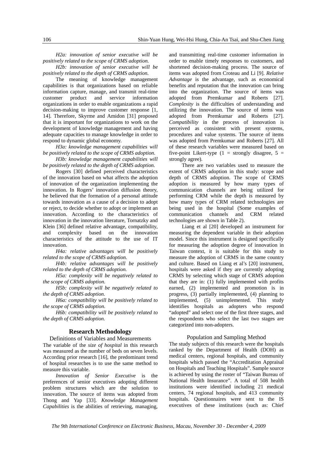*H2a: innovation of senior executive will be positively related to the scope of CRMS adoption.*

*H2b: innovation of senior executive will be positively related to the depth of CRMS adoption.*

The meaning of knowledge management capabilities is that organizations based on reliable information capture, manage, and transmit real-time customer product and service information organizations in order to enable organizations a rapid decision-making to improve customer response [1, 14]. Therefore, Skyrme and Amidon [31] proposed that it is important for organizations to work on the development of knowledge management and having adequate capacities to manage knowledge in order to respond to dynamic global economy.

*H3a: knowledge management capabilities will be positively related to the scope of CRMS adoption.*

*H3b: knowledge management capabilities will be positively related to the depth of CRMS adoption.*

Rogers [30] defined perceived characteristics of the innovation based on what affects the adoption of innovation of the organization implementing the innovation. In Rogers' innovation diffusion theory, he believed that the formation of a personal attitude towards innovation as a cause of a decision to adopt or reject, to decide whether to adopt or implement an innovation. According to the characteristics of innovation in the innovation literature, Tornatzky and Klein [36] defined relative advantage, compatibility, and complexity based on the innovation characteristics of the attitude to the use of IT innovation.

*H4a: relative advantages will be positively related to the scope of CRMS adoption.* 

*H4b: relative advantages will be positively related to the depth of CRMS adoption.* 

*H5a: complexity will be negatively related to the scope of CRMS adoption.* 

*H5b: complexity will be negatively related to the depth of CRMS adoption.* 

*H6a: compatibility will be positively related to the scope of CRMS adoption.*

*H6b: compatibility will be positively related to the depth of CRMS adoption.*

## **Research Methodology**

Definitions of Variables and Measurements

The variable of the *size of hospital* in this research was measured as the number of beds on seven levels. According prior research [16], the predominant trend of hospital researches is to use the same method to measure this variable.

*Innovation of Senior Executive* is the preferences of senior executives adopting different problem structures which are the solution to innovation. The source of items was adopted from Thong and Yap [33]. *Knowledge Management Capabilities* is the abilities of retrieving, managing,

and transmitting real-time customer information in order to enable timely responses to customers, and shortened decision-making process. The source of items was adopted from Croteau and Li [9]. *Relative Advantage* is the advantage, such as economical benefits and reputation that the innovation can bring into the organization. The source of items was adopted from Premkumar and Roberts [27]. *Complexity* is the difficulties of understanding and utilizing the innovation. The source of items was adopted from Premkumar and Roberts [27]. *Compatibility* in the process of innovation is perceived as consistent with present systems, procedures and value systems. The source of items was adopted from Premkumar and Roberts [27]. All of these research variables were measured based on five-point Likert-type (1 = strongly disagree,  $5 =$ strongly agree).

There are two variables used to measure the extent of CRMS adoption in this study: scope and depth of CRMS adoption. The scope of CRMS adoption is measured by how many types of communication channels are being utilized for performing CRM while the depth is measured by how many types of CRM related technologies are being used in the hospital (Some examples of communication channels and CRM related technologies are shown in Table 2).

Liang et al [20] developed an instrument for measuring the dependent variable in their adoption model. Since this instrument is designed specifically for measuring the adoption degree of innovation in Taiwan context, it is suitable for this study to measure the adoption of CRMS in the same country and culture. Based on Liang et al's [20] instrument, hospitals were asked if they are currently adopting CRMS by selecting which stage of CRMS adoption that they are in: (1) fully implemented with profits earned, (2) implemented and promotion is in progress, (3) partially implemented, (4) planning to implemented, (5) unimplemented. This study identifies hospitals as adopters who respond "adopted" and select one of the first three stages, and the respondents who select the last two stages are categorized into non-adopters.

#### Population and Sampling Method

The study subjects of this research were the hospitals ranked by the Department of Health (DOH) as medical centers, regional hospitals, and community hospitals which passed the "Accreditation Appraisal on Hospitals and Teaching Hospitals". Sample source is achieved by using the roster of "Taiwan Bureau of National Health Insurance". A total of 508 health institutions were identified including 21 medical centers, 74 regional hospitals, and 413 community hospitals. Questionnaires were sent to the IS executives of these institutions (such as: Chief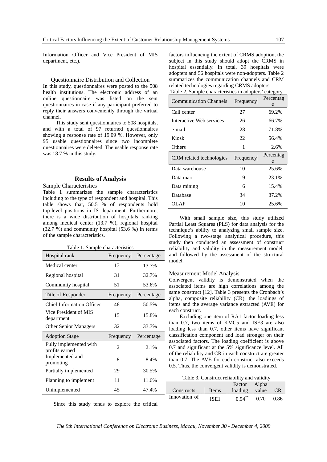Information Officer and Vice President of MIS department, etc.).

#### Questionnaire Distribution and Collection

In this study, questionnaires were posted to the 508 health institutions. The electronic address of an online questionnaire was listed on the sent questionnaires in case if any participant preferred to reply their answers conveniently through the virtual channel.

This study sent questionnaires to 508 hospitals, and with a total of 97 returned questionnaires showing a response rate of 19.09 %. However, only 95 usable questionnaires since two incomplete questionnaires were deleted. The usable response rate was 18.7 % in this study.

## **Results of Analysis**

#### Sample Characteristics

Table 1 summarizes the sample characteristics including to the type of respondent and hospital. This table shows that, 50.5 % of respondents hold top-level positions in IS department. Furthermore, there is a wide distribution of hospitals ranking among medical center (13.7 %), regional hospital (32.7 %) and community hospital (53.6 %) in terms of the sample characteristics.

|  |  | Table 1. Sample characteristics |  |
|--|--|---------------------------------|--|
|--|--|---------------------------------|--|

| Hospital rank                            | Frequency      | Percentage |  |
|------------------------------------------|----------------|------------|--|
| Medical center                           | 13             | 13.7%      |  |
| Regional hospital                        | 31             | 32.7%      |  |
| Community hospital                       | 51             | 53.6%      |  |
| Title of Responder                       | Frequency      | Percentage |  |
| <b>Chief Information Officer</b>         | 48             | 50.5%      |  |
| Vice President of MIS<br>department      | 15             | 15.8%      |  |
| <b>Other Senior Managers</b>             | 32             | 33.7%      |  |
| <b>Adoption Stage</b>                    | Frequency      | Percentage |  |
| Fully implemented with<br>profits earned | $\mathfrak{D}$ | 2.1%       |  |
| Implemented and<br>promoting             | 8              | 8.4%       |  |
| Partially implemented                    | 29             | 30.5%      |  |
| Planning to implement                    | 11             | 11.6%      |  |
| Unimplemented                            | 45             | 47.4%      |  |

factors influencing the extent of CRMS adoption, the subject in this study should adopt the CRMS in hospital essentially. In total, 39 hospitals were adopters and 56 hospitals were non-adopters. Table 2 summarizes the communication channels and CRM related technologies regarding CRMS adopters.

| Table 2. Sample characteristics in adopters' category |           |                |  |  |  |
|-------------------------------------------------------|-----------|----------------|--|--|--|
| <b>Communication Channels</b>                         | Frequency | Percentag<br>e |  |  |  |
| Call center                                           | 27        | 69.2%          |  |  |  |
| Interactive Web services                              | 26        | 66.7%          |  |  |  |
| e-mail                                                | 28        | 71.8%          |  |  |  |
| Kiosk                                                 | 22        | 56.4%          |  |  |  |
| Others                                                | 1         | 2.6%           |  |  |  |
|                                                       |           |                |  |  |  |
| CRM related technologies                              | Frequency | Percentag<br>e |  |  |  |
| Data warehouse                                        | 10        | 25.6%          |  |  |  |
| Data mart                                             | 9         | 23.1%          |  |  |  |
| Data mining                                           | 6         | 15.4%          |  |  |  |
| Database                                              | 34        | 87.2%          |  |  |  |

With small sample size, this study utilized Partial Least Squares (PLS) for data analysis for the technique's ability to analyzing small sample size. Following a two-stage analytical procedure, this study then conducted an assessment of construct reliability and validity in the measurement model, and followed by the assessment of the structural model.

#### Measurement Model Analysis

Convergent validity is demonstrated when the associated items are high correlations among the same construct [12]. Table 3 presents the Cronbach's alpha, composite reliability (CR), the loadings of items and the average variance extracted (AVE) for each construct.

Excluding one item of RA1 factor loading less than 0.7, two items of KMC5 and ISE3 are also loading less than 0.7, other items have significant classification component and load stronger on their associated factors. The loading coefficient is above 0.7 and significant at the 5% significance level. All of the reliability and CR in each construct are greater than 0.7. The AVE for each construct also exceeds 0.5. Thus, the convergent validity is demonstrated.

Table 3. Construct reliability and validity

| LL.U70   |               |                  |                      |       |      |
|----------|---------------|------------------|----------------------|-------|------|
|          |               |                  | Factor               | Alpha |      |
| 17.4%    | Constructs    | Items            | loading value        |       |      |
| $\cdots$ | Innovation of | ISE <sub>1</sub> | $0.94$ <sup>**</sup> | 0.70  | 0.86 |

Since this study tends to explore the critical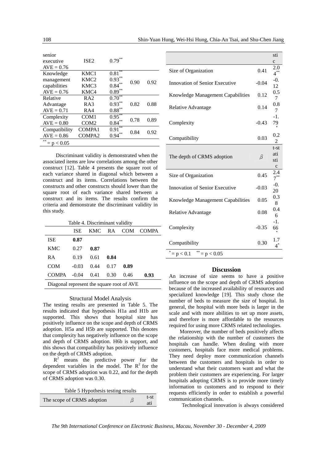| senior<br>executive<br>$AVE = 0.76$  | ISE <sub>2</sub>   | $* *$<br>0.79 |      |      |
|--------------------------------------|--------------------|---------------|------|------|
| Knowledge                            | KMC1               | **<br>0.81    |      |      |
| management                           | KMC <sub>2</sub>   | 0.93          | 0.90 | 0.92 |
| capabilities                         | KMC3               | 0.84          |      |      |
| $AVE = 0.76$                         | KMC4               | $0.89***$     |      |      |
| Relative                             | RA <sub>2</sub>    | **<br>0.70    |      |      |
| Advantage                            | RA3                | $0.93***$     | 0.82 | 0.88 |
| $AVE = 0.71$                         | RA4                | $0.88***$     |      |      |
| Complexity                           | COM <sub>1</sub>   | 0.95          | 0.78 | 0.89 |
| $AVE = 0.80$                         | COM <sub>2</sub>   | **<br>0.84    |      |      |
| Compatibility                        | COMPA1             | **<br>0.91    | 0.84 | 0.92 |
| $AVE = 0.86$                         | COMPA <sub>2</sub> | $* *$<br>0.94 |      |      |
| 金索<br>${}< 0.05$<br>$=$ $\mathsf{D}$ |                    |               |      |      |

Discriminant validity is demonstrated when the associated items are low correlations among the other construct [12]. Table 4 presents the square root of each variance shared in diagonal which between a construct and its items. Correlations between the constructs and other constructs should lower than the square root of each variance shared between a construct and its items. The results confirm the criteria and demonstrate the discriminant validity in this study.

| Table 4. Discriminant validity            |         |      |      |      |                  |
|-------------------------------------------|---------|------|------|------|------------------|
|                                           | ISE     |      |      |      | KMC RA COM COMPA |
| <b>ISE</b>                                | 0.87    |      |      |      |                  |
| <b>KMC</b>                                | 0.27    | 0.87 |      |      |                  |
| RA                                        | 0.19    | 0.61 | 0.84 |      |                  |
| <b>COM</b>                                | $-0.03$ | 0.44 | 0.17 | 0.89 |                  |
| $COMPA -0.04$                             |         | 0.41 | 0.30 | 0.46 | 0.93             |
| Diagonal represent the square root of AVE |         |      |      |      |                  |

#### Structural Model Analysis

The testing results are presented in Table 5. The results indicated that hypothesis H1a and H1b are supported. This shows that hospital size has positively influence on the scope and depth of CRMS adoption. H5a and H5b are supported. This denotes that complexity has negatively influence on the scope and depth of CRMS adoption. H6b is support, and this shows that compatibility has positively influence on the depth of CRMS adoption.

 $R^2$  means the predictive power for the dependent variables in the model. The  $\mathbb{R}^2$  for the scope of CRMS adoption was 0.22, and for the depth of CRMS adoption was 0.30.

| Table 5 Hypothesis testing results |   |             |
|------------------------------------|---|-------------|
| The scope of CRMS adoption         | β | t-st<br>ati |

|                                        |         | sti<br>$\mathbf c$                  |
|----------------------------------------|---------|-------------------------------------|
| Size of Organization                   | 0.41    | 2.0<br>$4^{**}$                     |
| Innovation of Senior Executive         | $-0.04$ | $-0.$<br>12                         |
| Knowledge Management Capabilities      | 0.12    | 0.5<br>7                            |
| Relative Advantage                     | 0.14    | 0.8<br>7                            |
| Complexity                             | $-0.43$ | $-1$ .<br>79                        |
| Compatibility                          | 0.03    | 0.2<br>2                            |
| The depth of CRMS adoption             | β       | $t-st$<br>ati<br>sti<br>$\mathbf c$ |
| Size of Organization                   | 0.45    | 2.4<br>$7^{**}$                     |
| Innovation of Senior Executive         | $-0.03$ | $-0.$<br>20                         |
| Knowledge Management Capabilities      | 0.05    | 0.3<br>8                            |
| Relative Advantage                     | 0.08    | 0.4<br>6                            |
| Complexity                             | $-0.35$ | $-1.$<br>66                         |
| Compatibility                          | 0.30    | 1.7<br>$4^*$                        |
| **<br>×<br>$= p < 0.05$<br>$= p < 0.1$ |         |                                     |

## **Discussion**

An increase of size seems to have a positive influence on the scope and depth of CRMS adoption because of the increased availability of resources and specialized knowledge [19]. This study chose the number of beds to measure the size of hospital. In general, the hospital with more beds is larger in the scale and with more abilities to set up more assets, and therefore is more affordable to the resources required for using more CRMS related technologies.

Moreover, the number of beds positively affects the relationship with the number of customers the hospitals can handle. When dealing with more customers, hospitals face more medical problems. They need deploy more communication channels between the customers and hospitals in order to understand what their customers want and what the problem their customers are experiencing. For larger hospitals adopting CRMS is to provide more timely information to customers and to respond to their requests efficiently in order to establish a powerful communication channels.

Technological innovation is always considered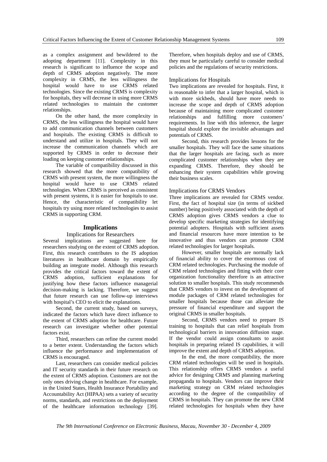as a complex assignment and bewildered to the adopting department [11]. Complexity in this research is significant to influence the scope and depth of CRMS adoption negatively. The more complexity in CRMS, the less willingness the hospital would have to use CRMS related technologies. Since the existing CRMS is complexity for hospitals, they will decrease in using more CRMS related technologies to maintain the customer relationships.

On the other hand, the more complexity in CRMS, the less willingness the hospital would have to add communication channels between customers and hospitals. The existing CRMS is difficult to understand and utilize in hospitals. They will not increase the communication channels which are supported by CRMS in order to decrease their loading on keeping customer relationships.

The variable of compatibility discussed in this research showed that the more compatibility of CRMS with present system, the more willingness the hospital would have to use CRMS related technologies. When CRMS is perceived as consistent with present systems, it is easier for hospitals to use. Hence, the characteristic of compatibility let hospitals try using more related technologies to assist CRMS in supporting CRM.

## **Implications**

#### Implications for Researchers

Several implications are suggested here for researchers studying on the extent of CRMS adoption. First, this research contributes to the IS adoption literatures in healthcare domain by empirically building an integrate model. Although this research provides the critical factors toward the extent of CRMS adoption, sufficient explanations for justifying how these factors influence managerial decision-making is lacking. Therefore, we suggest that future research can use follow-up interviews with hospital's CEO to elicit the explanations.

Second, the current study, based on surveys, indicated the factors which have direct influence to the extent of CRMS adoption for healthcare. Future research can investigate whether other potential factors exist.

Third, researchers can refine the current model to a better extent. Understanding the factors which influence the performance and implementation of CRMS is encouraged.

Last, researchers can consider medical policies and IT security standards in their future research on the extent of CRMS adoption. Customers are not the only ones driving change in healthcare. For example, in the United States, Health Insurance Portability and Accountability Act (HIPAA) sets a variety of security norms, standards, and restrictions on the deployment of the healthcare information technology [39]. Therefore, when hospitals deploy and use of CRMS, they must be particularly careful to consider medical policies and the regulations of security restrictions.

#### Implications for Hospitals

Two implications are revealed for hospitals. First, it is reasonable to infer that a larger hospital, which is with more sickbeds, should have more needs to increase the scope and depth of CRMS adoption because of maintaining more complicated customer relationships and fulfilling more customers' requirements. In line with this inference, the larger hospital should explore the invisible advantages and potentials of CRMS.

Second, this research provides lessons for the smaller hospitals. They will face the same situations that the larger hospitals are facing, such as more complicated customer relationships when they are expanding CRMS. Therefore, they should be enhancing their system capabilities while growing their business scales.

#### Implications for CRMS Vendors

Three implications are revealed for CRMS vendor. First, the fact of hospital size (in terms of sickbed number) being positively associated with the depth of CRMS adoption gives CRMS vendors a clue to develop specific marketing strategies for identifying potential adopters. Hospitals with sufficient assets and financial resources have more intention to be innovative and thus vendors can promote CRM related technologies for larger hospitals.

However, smaller hospitals are normally lack of financial ability to cover the enormous cost of CRM related technologies. Purchasing the module of CRM related technologies and fitting with their core organization functionality therefore is an attractive solution to smaller hospitals. This study recommends that CRMS vendors to invest on the development of module packages of CRM related technologies for smaller hospitals because those can alleviate the pressure of financial expenditure and support the original CRMS in smaller hospitals.

Second, CRMS vendors need to prepare IS training to hospitals that can relief hospitals from technological barriers in innovation diffusion stage. If the vendor could assign consultants to assist hospitals in preparing related IS capabilities, it will improve the extent and depth of CRMS adoption.

In the end, the more compatibility, the more CRM related technologies will be used in hospitals. This relationship offers CRMS vendors a useful advice for designing CRMS and planning marketing propaganda to hospitals. Vendors can improve their marketing strategy on CRM related technologies according to the degree of the compatibility of CRMS in hospitals. They can promote the new CRM related technologies for hospitals when they have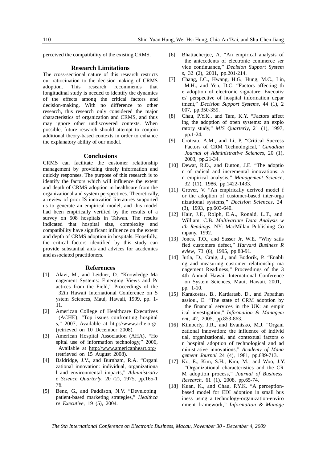perceived the compatibility of the existing CRMS.

#### **Research Limitations**

The cross-sectional nature of this research restricts our ratiocination to the decision-making of CRMS adoption. This research recommends that longitudinal study is needed to identify the dynamics of the effects among the critical factors and decision-making. With no difference to other research, this research only considered the major characteristics of organization and CRMS, and thus may ignore other undiscovered contexts. When possible, future research should attempt to conjoin additional theory-based contexts in order to enhance the explanatory ability of our model.

#### **Conclusions**

CRMS can facilitate the customer relationship management by providing timely information and quickly responses. The purpose of this research is to identify the factors which will influence the extent and depth of CRMS adoption in healthcare from the organizational and system perspectives. Theoretically, a review of prior IS innovation literatures supported us to generate an empirical model, and this model had been empirically verified by the results of a survey on 508 hospitals in Taiwan. The results indicated that hospital size, complexity and compatibility have significant influence on the extent and depth of CRMS adoption in hospitals. Hopefully, the critical factors identified by this study can provide substantial aids and advices for academics and associated practitioners.

#### **References**

- [1] Alavi, M., and Leidner, D. "Knowledge Ma nagement Systems: Emerging Views and Pr actices from the Field," Proceedings of the 32th Hawaii International Conference on S ystem Sciences, Maui, Hawaii, 1999, pp. 1- 11.
- [2] American College of Healthcare Executives (ACHE), "Top issues confronting hospital s," 2007, Available at http://www.ache.org/ (retrieved on 10 December 2008).
- [3] American Hospital Association (AHA), "Ho spital use of information technology," 2006, Available at http://www.americanheart.org/ (retrieved on 15 August 2008).
- [4] Baldridge, J.V., and Burnham, R.A. "Organi zational innovation: individual, organizationa l and environmental impacts," *Administrativ e Science Quarterly*, 20 (2), 1975, pp.165-1 76.
- [5] Benz, G., and Paddison, N.V. "Developing patient-based marketing strategies," *Healthca re Executive*, 19 (5), 2004.
- [6] Bhattacherjee, A. "An empirical analysis of the antecedents of electronic commerce ser vice continuance," *Decision Support System s*, 32 (2), 2001, pp.201-214.
- [7] Chang, I.C., Hwang, H.G., Hung, M.C., Lin, M.H., and Yen, D.C. "Factors affecting th e adoption of electronic signature: Executiv es' perspective of hospital information depar tment," *Decision Support Systems*, 44 (1), 2 007, pp.350-359.
- [8] Chau, P.Y.K., and Tam, K.Y. "Factors affect ing the adoption of open systems: an explo ratory study," *MIS Quarterly*, 21 (1), 1997, pp.1-24.
- [9] Croteau, A.M., and Li, P. "Critical Success Factors of CRM Technological," *Canadian Journal of Administrative Sciences*, 20 (1), 2003, pp.21-34.
- [10] Dewar, R.D., and Dutton, J.E. "The adoptio n of radical and incremental innovations: a n empirical analysis," *Management Science*, 32 (11), 1986, pp.1422-1433.
- [11] Grover, V. "An empirically derived model f or the adoption of customer-based inter-orga nizational systems," *Decision Sciences*, 24 (3), 1993, pp.603-640.
- [12] Hair, J.F., Rolph, E.A., Ronald, L.T., and William, C.B. *Multivariate Data Analysis w ith Readings*. NY: MacMillan Publishing Co mpany, 1992.
- [13] Jones, T.O., and Sasser Jr, W.E. "Why satis fied customers defect," *Harvard Business R eview*, 73 (6), 1995, pp.88-91.
- [14] Jutla, D., Craig, J., and Bodorik, P. "Enabli ng and measuring customer relationship ma nagement Readiness," Proceedings of the 3 4th Annual Hawaii International Conference on System Sciences, Maui, Hawaii, 2001, pp. 1-10.
- [15] Karakostas, B., Kardarasb, D., and Papathan assiou., E. "The state of CRM adoption by the financial services in the UK: an empir ical investigation," *Information & Managem ent*, 42, 2005, pp.853-863.
- [16] Kimberly, J.R., and Evanisko, M.J. "Organi zational innovation: the influence of individ ual, organizational, and contextual factors o n hospital adoption of technological and ad ministrative innovations," *Academy of Mana gement Journal* 24 (4), 1981, pp.689-713.
- [17] Ko, E., Kim, S.H., Kim, M., and Woo, J.Y. "Organizational characteristics and the CR M adoption process," *Journal of Business Research*, 61 (1), 2008, pp.65-74.
- [18] Kuan, K., and Chau, P.Y.K. "A perceptionbased model for EDI adoption in small bus iness using a technology-organization-enviro nment framework," *Information & Manage*